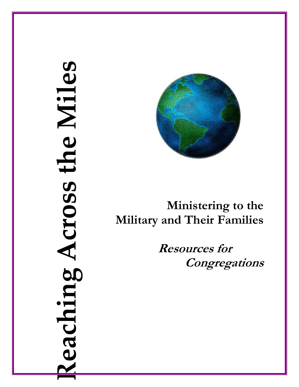# eaching Across the Miles Reaching Across the Miles



# Ministering to the Military and Their Families

 Resources for **Congregations**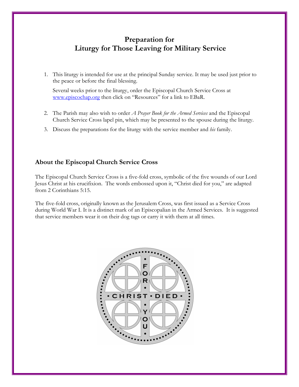## Preparation for Liturgy for Those Leaving for Military Service

1. This liturgy is intended for use at the principal Sunday service. It may be used just prior to the peace or before the final blessing.

 Several weeks prior to the liturgy, order the Episcopal Church Service Cross at [www.episcochap.org](http://www.episcochap.org/) then click on "Resources" for a link to EBaR.

- 2. The Parish may also wish to order *A Prayer Book for the Armed Services* and the Episcopal Church Service Cross lapel pin, which may be presented to the spouse during the liturgy.
- 3. Discuss the preparations for the liturgy with the service member and his family.

### About the Episcopal Church Service Cross

The Episcopal Church Service Cross is a five-fold cross, symbolic of the five wounds of our Lord Jesus Christ at his crucifixion. The words embossed upon it, "Christ died for you," are adapted from 2 Corinthians 5:15.

The five-fold cross, originally known as the Jerusalem Cross, was first issued as a Service Cross during World War I. It is a distinct mark of an Episcopalian in the Armed Services. It is suggested that service members wear it on their dog tags or carry it with them at all times.

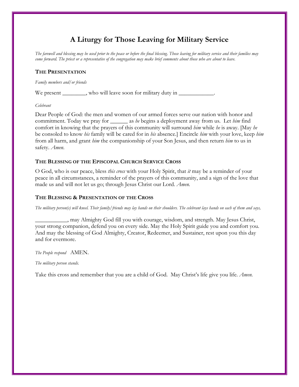# A Liturgy for Those Leaving for Military Service

The farewell and blessing may be used prior to the peace or before the final blessing. Those leaving for military service and their families may come forward. The priest or a representative of the congregation may make brief comments about those who are about to leave.

### THE PRESENTATION

### Family members and/or friends

We present \_\_\_\_\_\_\_, who will leave soon for military duty in \_\_\_\_\_\_\_\_\_\_\_\_\_\_\_\_\_\_\_

### Celebrant

Dear People of God: the men and women of our armed forces serve our nation with honor and commitment. Today we pray for \_\_\_\_\_\_\_ as he begins a deployment away from us. Let him find comfort in knowing that the prayers of this community will surround him while he is away. [May he be consoled to know his family will be cared for in his absence.] Encircle him with your love, keep him from all harm, and grant him the companionship of your Son Jesus, and then return him to us in safety. Amen.

### THE BLESSING OF THE EPISCOPAL CHURCH SERVICE CROSS

O God, who is our peace, bless this cross with your Holy Spirit, that it may be a reminder of your peace in all circumstances, a reminder of the prayers of this community, and a sign of the love that made us and will not let us go; through Jesus Christ our Lord. Amen.

### THE BLESSING & PRESENTATION OF THE CROSS

The military person(s) will kneel. Their family/friends may lay hands on their shoulders. The celebrant lays hands on each of them and says,

\_\_\_\_\_\_\_\_\_\_\_, may Almighty God fill you with courage, wisdom, and strength. May Jesus Christ, your strong companion, defend you on every side. May the Holy Spirit guide you and comfort you. And may the blessing of God Almighty, Creator, Redeemer, and Sustainer, rest upon you this day and for evermore.

### The People respond AMEN.

### The military person stands.

Take this cross and remember that you are a child of God. May Christ's life give you life. Amen.